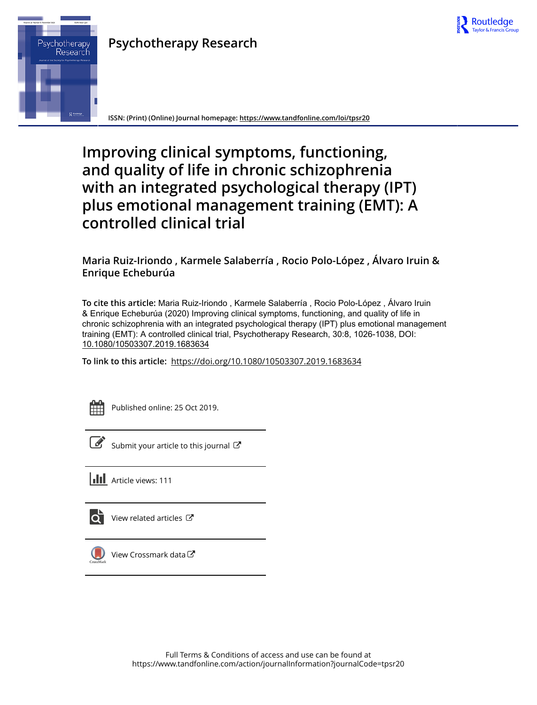

## **Psychotherapy Research**



**ISSN: (Print) (Online) Journal homepage:<https://www.tandfonline.com/loi/tpsr20>**

# **Improving clinical symptoms, functioning, and quality of life in chronic schizophrenia with an integrated psychological therapy (IPT) plus emotional management training (EMT): A controlled clinical trial**

**Maria Ruiz-Iriondo , Karmele Salaberría , Rocio Polo-López , Álvaro Iruin & Enrique Echeburúa**

**To cite this article:** Maria Ruiz-Iriondo , Karmele Salaberría , Rocio Polo-López , Álvaro Iruin & Enrique Echeburúa (2020) Improving clinical symptoms, functioning, and quality of life in chronic schizophrenia with an integrated psychological therapy (IPT) plus emotional management training (EMT): A controlled clinical trial, Psychotherapy Research, 30:8, 1026-1038, DOI: [10.1080/10503307.2019.1683634](https://www.tandfonline.com/action/showCitFormats?doi=10.1080/10503307.2019.1683634)

**To link to this article:** <https://doi.org/10.1080/10503307.2019.1683634>

Published online: 25 Oct 2019.

[Submit your article to this journal](https://www.tandfonline.com/action/authorSubmission?journalCode=tpsr20&show=instructions)  $\mathbb{Z}$ 

**III** Article views: 111

[View related articles](https://www.tandfonline.com/doi/mlt/10.1080/10503307.2019.1683634)  $\mathbb{Z}$ 



[View Crossmark data](http://crossmark.crossref.org/dialog/?doi=10.1080/10503307.2019.1683634&domain=pdf&date_stamp=2019-10-25)  $\mathbb{Z}$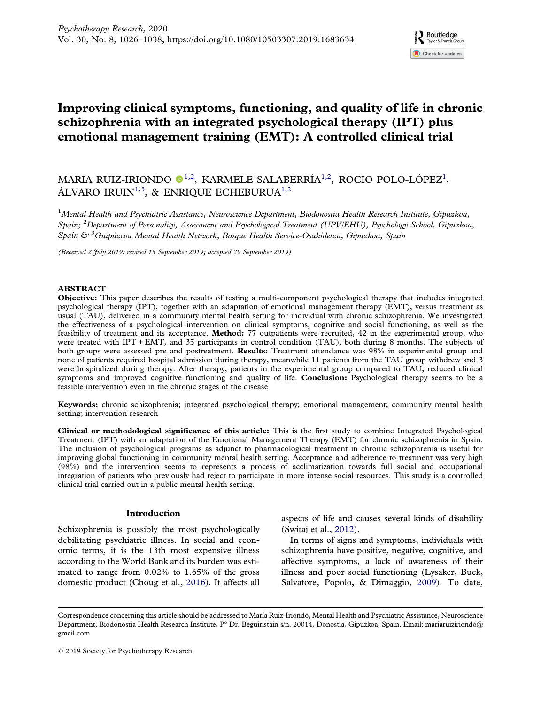### <span id="page-1-0"></span>Improving clinical symptoms, functioning, and quality of life in chronic schizophrenia with an integrated psychological therapy (IPT) plus emotional management training (EMT): A controlled clinical trial

### MARIA RUIZ-IRIONDO  $\bullet$ <sup>1,2</sup>, KARMELE SALABERRÍA<sup>1,2</sup>, ROCIO POLO-LÓPEZ<sup>1</sup>, ÁLVARO IRUIN<sup>1,3</sup>, & ENRIQUE ECHEBURÚA<sup>1,2</sup>

<sup>1</sup>Mental Health and Psychiatric Assistance, Neuroscience Department, Biodonostia Health Research Institute, Gipuzkoa, Spain; <sup>2</sup>Department of Personality, Assessment and Psychological Treatment (UPV/EHU), Psychology School, Gipuzkoa, Spain & <sup>3</sup>Guipúzcoa Mental Health Network, Basque Health Service-Osakidetza, Gipuzkoa, Spain

(Received 2 July 2019; revised 13 September 2019; accepted 29 September 2019)

#### ABSTRACT

Objective: This paper describes the results of testing a multi-component psychological therapy that includes integrated psychological therapy (IPT), together with an adaptation of emotional management therapy (EMT), versus treatment as usual (TAU), delivered in a community mental health setting for individual with chronic schizophrenia. We investigated the effectiveness of a psychological intervention on clinical symptoms, cognitive and social functioning, as well as the feasibility of treatment and its acceptance. Method: 77 outpatients were recruited, 42 in the experimental group, who were treated with IPT + EMT, and 35 participants in control condition (TAU), both during 8 months. The subjects of both groups were assessed pre and postreatment. Results: Treatment attendance was 98% in experimental group and none of patients required hospital admission during therapy, meanwhile 11 patients from the TAU group withdrew and 3 were hospitalized during therapy. After therapy, patients in the experimental group compared to TAU, reduced clinical symptoms and improved cognitive functioning and quality of life. **Conclusion:** Psychological therapy seems to be a feasible intervention even in the chronic stages of the disease

Keywords: chronic schizophrenia; integrated psychological therapy; emotional management; community mental health setting; intervention research

Clinical or methodological significance of this article: This is the first study to combine Integrated Psychological Treatment (IPT) with an adaptation of the Emotional Management Therapy (EMT) for chronic schizophrenia in Spain. The inclusion of psychological programs as adjunct to pharmacological treatment in chronic schizophrenia is useful for improving global functioning in community mental health setting. Acceptance and adherence to treatment was very high (98%) and the intervention seems to represents a process of acclimatization towards full social and occupational integration of patients who previously had reject to participate in more intense social resources. This study is a controlled clinical trial carried out in a public mental health setting.

#### Introduction

Schizophrenia is possibly the most psychologically debilitating psychiatric illness. In social and economic terms, it is the 13th most expensive illness according to the World Bank and its burden was estimated to range from 0.02% to 1.65% of the gross domestic product (Choug et al., [2016](#page-11-0)). It affects all

aspects of life and causes several kinds of disability (Switaj et al., [2012\)](#page-13-0).

In terms of signs and symptoms, individuals with schizophrenia have positive, negative, cognitive, and affective symptoms, a lack of awareness of their illness and poor social functioning (Lysaker, Buck, Salvatore, Popolo, & Dimaggio, [2009\)](#page-12-0). To date,

Correspondence concerning this article should be addressed to María Ruiz-Iriondo, Mental Health and Psychiatric Assistance, Neuroscience Department, Biodonostia Health Research Institute, P° Dr. Beguiristain s/n. 20014, Donostia, Gipuzkoa, Spain. Email: [mariaruiziriondo@](mailto:mariaruiziriondo@gmail.com) [gmail.com](mailto:mariaruiziriondo@gmail.com)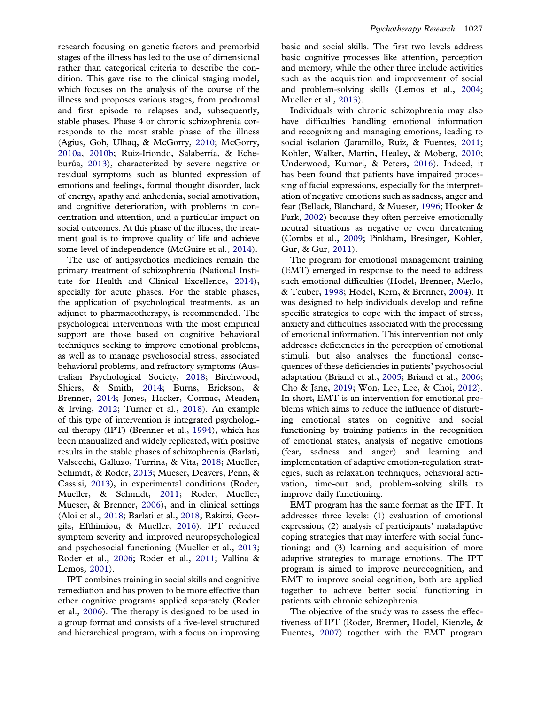<span id="page-2-0"></span>research focusing on genetic factors and premorbid stages of the illness has led to the use of dimensional rather than categorical criteria to describe the condition. This gave rise to the clinical staging model, which focuses on the analysis of the course of the illness and proposes various stages, from prodromal and first episode to relapses and, subsequently, stable phases. Phase 4 or chronic schizophrenia corresponds to the most stable phase of the illness (Agius, Goh, Ulhaq, & McGorry, [2010;](#page-11-0) McGorry, [2010a,](#page-12-0) [2010b;](#page-12-0) Ruiz-Iriondo, Salaberría, & Echeburúa, [2013\)](#page-13-0), characterized by severe negative or residual symptoms such as blunted expression of emotions and feelings, formal thought disorder, lack of energy, apathy and anhedonia, social amotivation, and cognitive deterioration, with problems in concentration and attention, and a particular impact on social outcomes. At this phase of the illness, the treatment goal is to improve quality of life and achieve some level of independence (McGuire et al., [2014\)](#page-12-0).

The use of antipsychotics medicines remain the primary treatment of schizophrenia (National Institute for Health and Clinical Excellence, [2014\)](#page-12-0), specially for acute phases. For the stable phases, the application of psychological treatments, as an adjunct to pharmacotherapy, is recommended. The psychological interventions with the most empirical support are those based on cognitive behavioral techniques seeking to improve emotional problems, as well as to manage psychosocial stress, associated behavioral problems, and refractory symptoms (Australian Psychological Society, [2018](#page-11-0); Birchwood, Shiers, & Smith, [2014;](#page-11-0) Burns, Erickson, & Brenner, [2014;](#page-11-0) Jones, Hacker, Cormac, Meaden, & Irving, [2012](#page-12-0); Turner et al., [2018\)](#page-13-0). An example of this type of intervention is integrated psychological therapy (IPT) (Brenner et al., [1994\)](#page-11-0), which has been manualized and widely replicated, with positive results in the stable phases of schizophrenia (Barlati, Valsecchi, Galluzo, Turrina, & Vita, [2018;](#page-11-0) Mueller, Schimdt, & Roder, [2013;](#page-12-0) Mueser, Deavers, Penn, & Cassisi, [2013](#page-12-0)), in experimental conditions (Roder, Mueller, & Schmidt, [2011](#page-13-0); Roder, Mueller, Mueser, & Brenner, [2006](#page-12-0)), and in clinical settings (Aloi et al., [2018;](#page-11-0) Barlati et al., [2018](#page-11-0); Rakitzi, Georgila, Efthimiou, & Mueller, [2016\)](#page-12-0). IPT reduced symptom severity and improved neuropsychological and psychosocial functioning (Mueller et al., [2013;](#page-12-0) Roder et al., [2006;](#page-12-0) Roder et al., [2011;](#page-13-0) Vallina & Lemos, [2001\)](#page-13-0).

IPT combines training in social skills and cognitive remediation and has proven to be more effective than other cognitive programs applied separately (Roder et al., [2006](#page-12-0)). The therapy is designed to be used in a group format and consists of a five-level structured and hierarchical program, with a focus on improving basic and social skills. The first two levels address basic cognitive processes like attention, perception and memory, while the other three include activities such as the acquisition and improvement of social and problem-solving skills (Lemos et al., [2004](#page-12-0); Mueller et al., [2013](#page-12-0)).

Individuals with chronic schizophrenia may also have difficulties handling emotional information and recognizing and managing emotions, leading to social isolation (Jaramillo, Ruiz, & Fuentes, [2011](#page-12-0); Kohler, Walker, Martin, Healey, & Moberg, [2010](#page-12-0); Underwood, Kumari, & Peters, [2016\)](#page-13-0). Indeed, it has been found that patients have impaired processing of facial expressions, especially for the interpretation of negative emotions such as sadness, anger and fear (Bellack, Blanchard, & Mueser, [1996](#page-11-0); Hooker & Park, [2002](#page-12-0)) because they often perceive emotionally neutral situations as negative or even threatening (Combs et al., [2009;](#page-11-0) Pinkham, Bresinger, Kohler, Gur, & Gur, [2011](#page-12-0)).

The program for emotional management training (EMT) emerged in response to the need to address such emotional difficulties (Hodel, Brenner, Merlo, & Teuber, [1998](#page-12-0); Hodel, Kern, & Brenner, [2004\)](#page-12-0). It was designed to help individuals develop and refine specific strategies to cope with the impact of stress, anxiety and difficulties associated with the processing of emotional information. This intervention not only addresses deficiencies in the perception of emotional stimuli, but also analyses the functional consequences of these deficiencies in patients' psychosocial adaptation (Briand et al., [2005](#page-11-0); Briand et al., [2006](#page-11-0); Cho & Jang, [2019](#page-11-0); Won, Lee, Lee, & Choi, [2012\)](#page-13-0). In short, EMT is an intervention for emotional problems which aims to reduce the influence of disturbing emotional states on cognitive and social functioning by training patients in the recognition of emotional states, analysis of negative emotions (fear, sadness and anger) and learning and implementation of adaptive emotion-regulation strategies, such as relaxation techniques, behavioral activation, time-out and, problem-solving skills to improve daily functioning.

EMT program has the same format as the IPT. It addresses three levels: (1) evaluation of emotional expression; (2) analysis of participants' maladaptive coping strategies that may interfere with social functioning; and (3) learning and acquisition of more adaptive strategies to manage emotions. The IPT program is aimed to improve neurocognition, and EMT to improve social cognition, both are applied together to achieve better social functioning in patients with chronic schizophrenia.

The objective of the study was to assess the effectiveness of IPT (Roder, Brenner, Hodel, Kienzle, & Fuentes, [2007\)](#page-12-0) together with the EMT program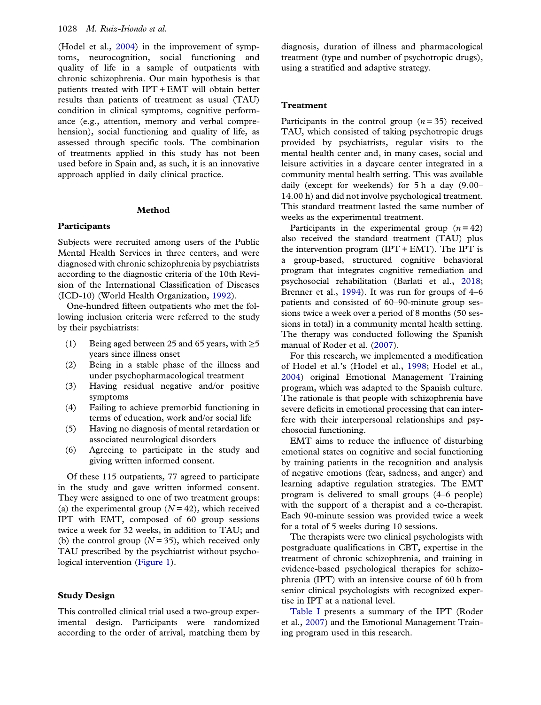<span id="page-3-0"></span>(Hodel et al., [2004](#page-12-0)) in the improvement of symptoms, neurocognition, social functioning and quality of life in a sample of outpatients with chronic schizophrenia. Our main hypothesis is that patients treated with IPT + EMT will obtain better results than patients of treatment as usual (TAU) condition in clinical symptoms, cognitive performance (e.g., attention, memory and verbal comprehension), social functioning and quality of life, as assessed through specific tools. The combination of treatments applied in this study has not been used before in Spain and, as such, it is an innovative approach applied in daily clinical practice.

#### Method

#### **Participants**

Subjects were recruited among users of the Public Mental Health Services in three centers, and were diagnosed with chronic schizophrenia by psychiatrists according to the diagnostic criteria of the 10th Revision of the International Classification of Diseases (ICD-10) (World Health Organization, [1992\)](#page-13-0).

One-hundred fifteen outpatients who met the following inclusion criteria were referred to the study by their psychiatrists:

- (1) Being aged between 25 and 65 years, with  $\geq 5$ years since illness onset
- (2) Being in a stable phase of the illness and under psychopharmacological treatment
- (3) Having residual negative and/or positive symptoms
- (4) Failing to achieve premorbid functioning in terms of education, work and/or social life
- (5) Having no diagnosis of mental retardation or associated neurological disorders
- (6) Agreeing to participate in the study and giving written informed consent.

Of these 115 outpatients, 77 agreed to participate in the study and gave written informed consent. They were assigned to one of two treatment groups: (a) the experimental group  $(N = 42)$ , which received IPT with EMT, composed of 60 group sessions twice a week for 32 weeks, in addition to TAU; and (b) the control group  $(N = 35)$ , which received only TAU prescribed by the psychiatrist without psychological intervention [\(Figure 1](#page-4-0)).

#### Study Design

This controlled clinical trial used a two-group experimental design. Participants were randomized according to the order of arrival, matching them by diagnosis, duration of illness and pharmacological treatment (type and number of psychotropic drugs), using a stratified and adaptive strategy.

#### Treatment

Participants in the control group  $(n = 35)$  received TAU, which consisted of taking psychotropic drugs provided by psychiatrists, regular visits to the mental health center and, in many cases, social and leisure activities in a daycare center integrated in a community mental health setting. This was available daily (except for weekends) for 5 h a day (9.00– 14.00 h) and did not involve psychological treatment. This standard treatment lasted the same number of weeks as the experimental treatment.

Participants in the experimental group  $(n = 42)$ also received the standard treatment (TAU) plus the intervention program (IPT + EMT). The IPT is a group-based, structured cognitive behavioral program that integrates cognitive remediation and psychosocial rehabilitation (Barlati et al., [2018](#page-11-0); Brenner et al., [1994\)](#page-11-0). It was run for groups of 4–6 patients and consisted of 60–90-minute group sessions twice a week over a period of 8 months (50 sessions in total) in a community mental health setting. The therapy was conducted following the Spanish manual of Roder et al. [\(2007](#page-12-0)).

For this research, we implemented a modification of Hodel et al.'s (Hodel et al., [1998;](#page-12-0) Hodel et al., [2004\)](#page-12-0) original Emotional Management Training program, which was adapted to the Spanish culture. The rationale is that people with schizophrenia have severe deficits in emotional processing that can interfere with their interpersonal relationships and psychosocial functioning.

EMT aims to reduce the influence of disturbing emotional states on cognitive and social functioning by training patients in the recognition and analysis of negative emotions (fear, sadness, and anger) and learning adaptive regulation strategies. The EMT program is delivered to small groups (4–6 people) with the support of a therapist and a co-therapist. Each 90-minute session was provided twice a week for a total of 5 weeks during 10 sessions.

The therapists were two clinical psychologists with postgraduate qualifications in CBT, expertise in the treatment of chronic schizophrenia, and training in evidence-based psychological therapies for schizophrenia (IPT) with an intensive course of 60 h from senior clinical psychologists with recognized expertise in IPT at a national level.

[Table I](#page-5-0) presents a summary of the IPT (Roder et al., [2007\)](#page-12-0) and the Emotional Management Training program used in this research.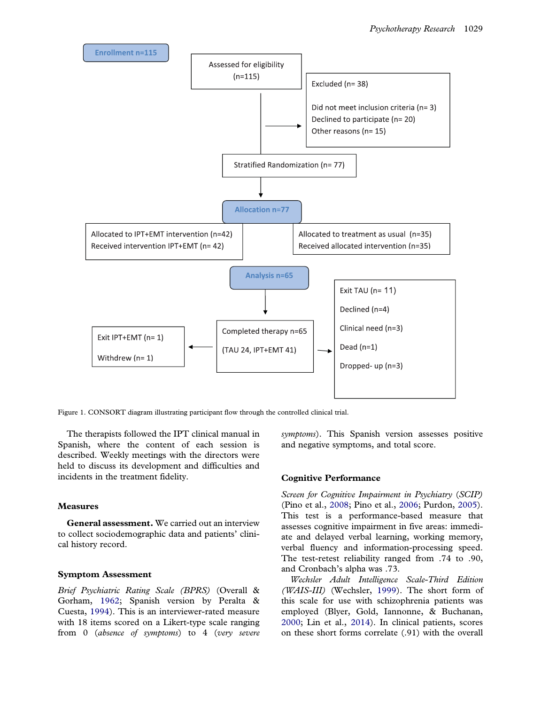<span id="page-4-0"></span>

Figure 1. CONSORT diagram illustrating participant flow through the controlled clinical trial.

The therapists followed the IPT clinical manual in Spanish, where the content of each session is described. Weekly meetings with the directors were held to discuss its development and difficulties and incidents in the treatment fidelity.

#### Measures

General assessment. We carried out an interview to collect sociodemographic data and patients' clinical history record.

#### Symptom Assessment

Brief Psychiatric Rating Scale (BPRS) (Overall & Gorham, [1962;](#page-12-0) Spanish version by Peralta & Cuesta, [1994](#page-12-0)). This is an interviewer-rated measure with 18 items scored on a Likert-type scale ranging from 0 (absence of symptoms) to 4 (very severe symptoms). This Spanish version assesses positive and negative symptoms, and total score.

#### Cognitive Performance

Screen for Cognitive Impairment in Psychiatry (SCIP) (Pino et al., [2008;](#page-12-0) Pino et al., [2006](#page-12-0); Purdon, [2005\)](#page-12-0). This test is a performance-based measure that assesses cognitive impairment in five areas: immediate and delayed verbal learning, working memory, verbal fluency and information-processing speed. The test-retest reliability ranged from .74 to .90, and Cronbach's alpha was .73.

Wechsler Adult Intelligence Scale-Third Edition (WAIS-III) (Wechsler, [1999\)](#page-13-0). The short form of this scale for use with schizophrenia patients was employed (Blyer, Gold, Iannonne, & Buchanan, [2000;](#page-11-0) Lin et al., [2014\)](#page-12-0). In clinical patients, scores on these short forms correlate (.91) with the overall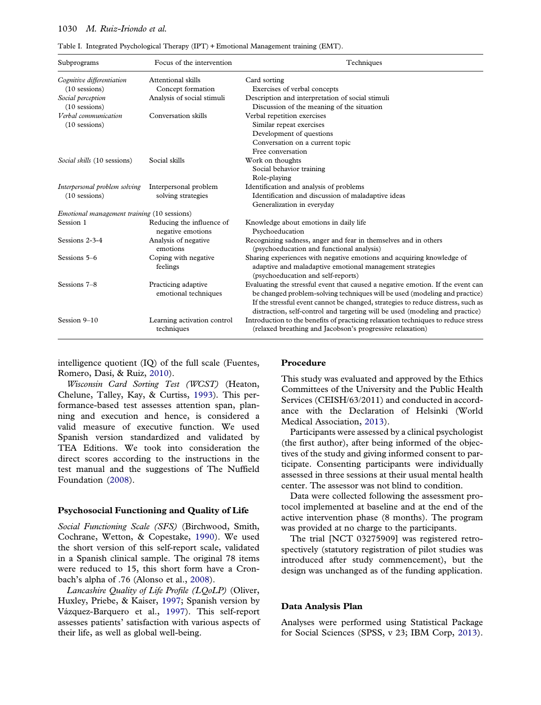#### <span id="page-5-0"></span>1030 M. Ruiz-Iriondo et al.

| Subprograms                                 | Focus of the intervention                   | Techniques                                                                                                                                                                                                                                                                                                                        |
|---------------------------------------------|---------------------------------------------|-----------------------------------------------------------------------------------------------------------------------------------------------------------------------------------------------------------------------------------------------------------------------------------------------------------------------------------|
| Cognitive differentiation                   | Attentional skills                          | Card sorting                                                                                                                                                                                                                                                                                                                      |
| $(10$ sessions)                             | Concept formation                           | Exercises of verbal concepts                                                                                                                                                                                                                                                                                                      |
| Social perception                           | Analysis of social stimuli                  | Description and interpretation of social stimuli                                                                                                                                                                                                                                                                                  |
| $(10$ sessions)                             |                                             | Discussion of the meaning of the situation                                                                                                                                                                                                                                                                                        |
| Verbal communication                        | Conversation skills                         | Verbal repetition exercises                                                                                                                                                                                                                                                                                                       |
| $(10$ sessions)                             |                                             | Similar repeat exercises                                                                                                                                                                                                                                                                                                          |
|                                             |                                             | Development of questions                                                                                                                                                                                                                                                                                                          |
|                                             |                                             | Conversation on a current topic                                                                                                                                                                                                                                                                                                   |
|                                             |                                             | Free conversation                                                                                                                                                                                                                                                                                                                 |
| Social skills (10 sessions)                 | Social skills                               | Work on thoughts                                                                                                                                                                                                                                                                                                                  |
|                                             |                                             | Social behavior training                                                                                                                                                                                                                                                                                                          |
|                                             |                                             | Role-playing                                                                                                                                                                                                                                                                                                                      |
| Interpersonal problem solving               | Interpersonal problem                       | Identification and analysis of problems                                                                                                                                                                                                                                                                                           |
| $(10$ sessions)                             | solving strategies                          | Identification and discussion of maladaptive ideas                                                                                                                                                                                                                                                                                |
|                                             |                                             | Generalization in everyday                                                                                                                                                                                                                                                                                                        |
| Emotional management training (10 sessions) |                                             |                                                                                                                                                                                                                                                                                                                                   |
| Session 1                                   | Reducing the influence of                   | Knowledge about emotions in daily life                                                                                                                                                                                                                                                                                            |
|                                             | negative emotions                           | Psychoeducation                                                                                                                                                                                                                                                                                                                   |
| Sessions 2-3-4                              | Analysis of negative                        | Recognizing sadness, anger and fear in themselves and in others                                                                                                                                                                                                                                                                   |
|                                             | emotions                                    | (psychoeducation and functional analysis)                                                                                                                                                                                                                                                                                         |
| Sessions 5-6                                | Coping with negative<br>feelings            | Sharing experiences with negative emotions and acquiring knowledge of<br>adaptive and maladaptive emotional management strategies<br>(psychoeducation and self-reports)                                                                                                                                                           |
| Sessions 7-8                                | Practicing adaptive<br>emotional techniques | Evaluating the stressful event that caused a negative emotion. If the event can<br>be changed problem-solving techniques will be used (modeling and practice)<br>If the stressful event cannot be changed, strategies to reduce distress, such as<br>distraction, self-control and targeting will be used (modeling and practice) |
| Session 9-10                                | Learning activation control<br>techniques   | Introduction to the benefits of practicing relaxation techniques to reduce stress<br>(relaxed breathing and Jacobson's progressive relaxation)                                                                                                                                                                                    |

Table I. Integrated Psychological Therapy (IPT) + Emotional Management training (EMT).

intelligence quotient (IQ) of the full scale (Fuentes, Romero, Dasí, & Ruiz, [2010](#page-11-0)).

Wisconsin Card Sorting Test (WCST) (Heaton, Chelune, Talley, Kay, & Curtiss, [1993\)](#page-12-0). This performance-based test assesses attention span, planning and execution and hence, is considered a valid measure of executive function. We used Spanish version standardized and validated by TEA Editions. We took into consideration the direct scores according to the instructions in the test manual and the suggestions of The Nuffield Foundation ([2008](#page-12-0)).

#### Psychosocial Functioning and Quality of Life

Social Functioning Scale (SFS) (Birchwood, Smith, Cochrane, Wetton, & Copestake, [1990\)](#page-11-0). We used the short version of this self-report scale, validated in a Spanish clinical sample. The original 78 items were reduced to 15, this short form have a Cronbach's alpha of .76 (Alonso et al., [2008\)](#page-11-0).

Lancashire Quality of Life Profile (LQoLP) (Oliver, Huxley, Priebe, & Kaiser, [1997;](#page-12-0) Spanish version by Vázquez-Barquero et al., [1997](#page-13-0)). This self-report assesses patients' satisfaction with various aspects of their life, as well as global well-being.

#### Procedure

This study was evaluated and approved by the Ethics Committees of the University and the Public Health Services (CEISH/63/2011) and conducted in accordance with the Declaration of Helsinki (World Medical Association, [2013\)](#page-13-0).

Participants were assessed by a clinical psychologist (the first author), after being informed of the objectives of the study and giving informed consent to participate. Consenting participants were individually assessed in three sessions at their usual mental health center. The assessor was not blind to condition.

Data were collected following the assessment protocol implemented at baseline and at the end of the active intervention phase (8 months). The program was provided at no charge to the participants.

The trial [NCT 03275909] was registered retrospectively (statutory registration of pilot studies was introduced after study commencement), but the design was unchanged as of the funding application.

#### Data Analysis Plan

Analyses were performed using Statistical Package for Social Sciences (SPSS, v 23; IBM Corp, [2013\)](#page-12-0).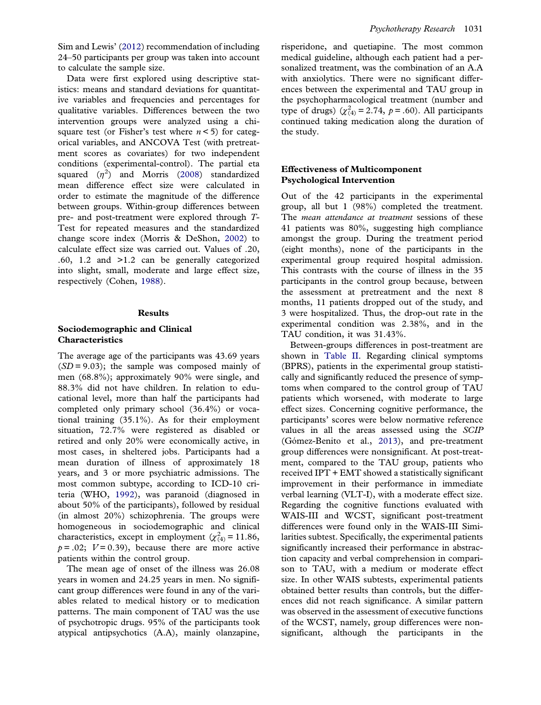<span id="page-6-0"></span>Sim and Lewis' [\(2012](#page-13-0)) recommendation of including 24–50 participants per group was taken into account to calculate the sample size.

Data were first explored using descriptive statistics: means and standard deviations for quantitative variables and frequencies and percentages for qualitative variables. Differences between the two intervention groups were analyzed using a chisquare test (or Fisher's test where  $n < 5$ ) for categorical variables, and ANCOVA Test (with pretreatment scores as covariates) for two independent conditions (experimental-control). The partial eta squared  $(\eta^2)$  and Morris ([2008\)](#page-12-0) standardized mean difference effect size were calculated in order to estimate the magnitude of the difference between groups. Within-group differences between pre- and post-treatment were explored through T-Test for repeated measures and the standardized change score index (Morris & DeShon, [2002\)](#page-12-0) to calculate effect size was carried out. Values of .20, .60, 1.2 and >1.2 can be generally categorized into slight, small, moderate and large effect size, respectively (Cohen, [1988](#page-11-0)).

#### Results

#### Sociodemographic and Clinical Characteristics

The average age of the participants was 43.69 years  $(SD = 9.03)$ ; the sample was composed mainly of men (68.8%); approximately 90% were single, and 88.3% did not have children. In relation to educational level, more than half the participants had completed only primary school (36.4%) or vocational training (35.1%). As for their employment situation, 72.7% were registered as disabled or retired and only 20% were economically active, in most cases, in sheltered jobs. Participants had a mean duration of illness of approximately 18 years, and 3 or more psychiatric admissions. The most common subtype, according to ICD-10 criteria (WHO, [1992](#page-13-0)), was paranoid (diagnosed in about 50% of the participants), followed by residual (in almost 20%) schizophrenia. The groups were homogeneous in sociodemographic and clinical characteristics, except in employment ( $\chi^2_{(4)}$  = 11.86,  $p = .02$ ;  $V = 0.39$ ), because there are more active patients within the control group.

The mean age of onset of the illness was 26.08 years in women and 24.25 years in men. No significant group differences were found in any of the variables related to medical history or to medication patterns. The main component of TAU was the use of psychotropic drugs. 95% of the participants took atypical antipsychotics (A.A), mainly olanzapine,

risperidone, and quetiapine. The most common medical guideline, although each patient had a personalized treatment, was the combination of an A.A with anxiolytics. There were no significant differences between the experimental and TAU group in the psychopharmacological treatment (number and type of drugs)  $(\chi^2_{(4)} = 2.74, p = .60)$ . All participants continued taking medication along the duration of the study.

#### Effectiveness of Multicomponent Psychological Intervention

Out of the 42 participants in the experimental group, all but 1 (98%) completed the treatment. The *mean attendance at treatment* sessions of these 41 patients was 80%, suggesting high compliance amongst the group. During the treatment period (eight months), none of the participants in the experimental group required hospital admission. This contrasts with the course of illness in the 35 participants in the control group because, between the assessment at pretreatment and the next 8 months, 11 patients dropped out of the study, and 3 were hospitalized. Thus, the drop-out rate in the experimental condition was 2.38%, and in the TAU condition, it was 31.43%.

Between-groups differences in post-treatment are shown in [Table II.](#page-7-0) Regarding clinical symptoms (BPRS), patients in the experimental group statistically and significantly reduced the presence of symptoms when compared to the control group of TAU patients which worsened, with moderate to large effect sizes. Concerning cognitive performance, the participants' scores were below normative reference values in all the areas assessed using the SCIP (Gómez-Benito et al., [2013\)](#page-11-0), and pre-treatment group differences were nonsignificant. At post-treatment, compared to the TAU group, patients who received IPT + EMT showed a statistically significant improvement in their performance in immediate verbal learning (VLT-I), with a moderate effect size. Regarding the cognitive functions evaluated with WAIS-III and WCST, significant post-treatment differences were found only in the WAIS-III Similarities subtest. Specifically, the experimental patients significantly increased their performance in abstraction capacity and verbal comprehension in comparison to TAU, with a medium or moderate effect size. In other WAIS subtests, experimental patients obtained better results than controls, but the differences did not reach significance. A similar pattern was observed in the assessment of executive functions of the WCST, namely, group differences were nonsignificant, although the participants in the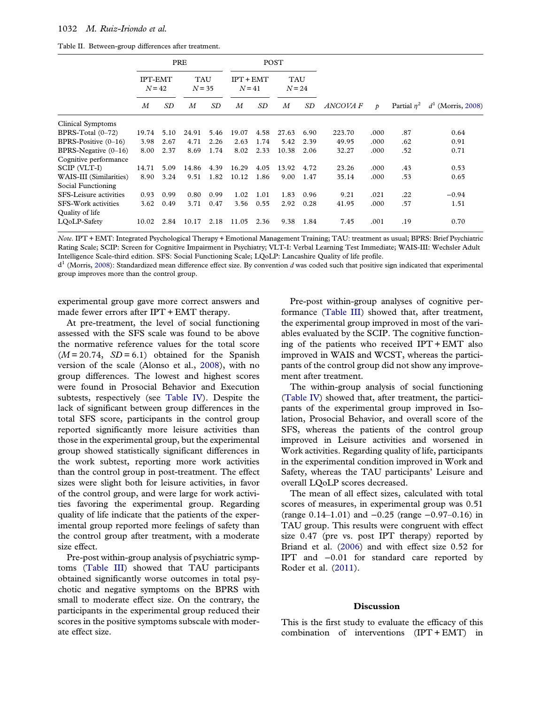<span id="page-7-0"></span>

| Table II. Between-group differences after treatment. |  |
|------------------------------------------------------|--|
|------------------------------------------------------|--|

|                         |                            |           | PRE                    |      |                         |      | POST                   |      |                 |               |     |                                                |
|-------------------------|----------------------------|-----------|------------------------|------|-------------------------|------|------------------------|------|-----------------|---------------|-----|------------------------------------------------|
|                         | <b>IPT-EMT</b><br>$N = 42$ |           | <b>TAU</b><br>$N = 35$ |      | $IPT + EMT$<br>$N = 41$ |      | <b>TAU</b><br>$N = 24$ |      |                 |               |     |                                                |
|                         | $\boldsymbol{M}$           | <b>SD</b> | М                      | SD   | $\boldsymbol{M}$        | SD   | M                      | SD   | <b>ANCOVA F</b> | $\mathcal{D}$ |     | Partial $\eta^2$ d <sup>1</sup> (Morris, 2008) |
| Clinical Symptoms       |                            |           |                        |      |                         |      |                        |      |                 |               |     |                                                |
| BPRS-Total $(0-72)$     | 19.74                      | 5.10      | 24.91                  | 5.46 | 19.07                   | 4.58 | 27.63                  | 6.90 | 223.70          | .000          | .87 | 0.64                                           |
| BPRS-Positive $(0-16)$  | 3.98                       | 2.67      | 4.71                   | 2.26 | 2.63                    | 1.74 | 5.42                   | 2.39 | 49.95           | .000          | .62 | 0.91                                           |
| BPRS-Negative $(0-16)$  | 8.00                       | 2.37      | 8.69                   | 1.74 | 8.02                    | 2.33 | 10.38                  | 2.06 | 32.27           | .000          | .52 | 0.71                                           |
| Cognitive performance   |                            |           |                        |      |                         |      |                        |      |                 |               |     |                                                |
| SCIP (VLT-I)            | 14.71                      | 5.09      | 14.86                  | 4.39 | 16.29                   | 4.05 | 13.92                  | 4.72 | 23.26           | .000          | .43 | 0.53                                           |
| WAIS-III (Similarities) | 8.90                       | 3.24      | 9.51                   | 1.82 | 10.12                   | 1.86 | 9.00                   | 1.47 | 35.14           | .000          | .53 | 0.65                                           |
| Social Functioning      |                            |           |                        |      |                         |      |                        |      |                 |               |     |                                                |
| SFS-Leisure activities  | 0.93                       | 0.99      | 0.80                   | 0.99 | 1.02                    | 1.01 | 1.83                   | 0.96 | 9.21            | .021          | .22 | $-0.94$                                        |
| SFS-Work activities     | 3.62                       | 0.49      | 3.71                   | 0.47 | 3.56                    | 0.55 | 2.92                   | 0.28 | 41.95           | .000          | .57 | 1.51                                           |
| Quality of life         |                            |           |                        |      |                         |      |                        |      |                 |               |     |                                                |
| LOoLP-Safety            | 10.02                      | 2.84      | 10.17                  | 2.18 | 11.05                   | 2.36 | 9.38                   | 1.84 | 7.45            | .001          | .19 | 0.70                                           |

Note. IPT + EMT: Integrated Psychological Therapy + Emotional Management Training; TAU: treatment as usual; BPRS: Brief Psychiatric Rating Scale; SCIP: Screen for Cognitive Impairment in Psychiatry; VLT-I: Verbal Learning Test Immediate; WAIS-III: Wechsler Adult Intelligence Scale-third edition. SFS: Social Functioning Scale; LQoLP: Lancashire Quality of life profile.

 $d<sup>1</sup>$  (Morris, [2008\)](#page-12-0): Standardized mean difference effect size. By convention d was coded such that positive sign indicated that experimental group improves more than the control group.

experimental group gave more correct answers and made fewer errors after IPT + EMT therapy.

At pre-treatment, the level of social functioning assessed with the SFS scale was found to be above the normative reference values for the total score  $(M = 20.74, SD = 6.1)$  obtained for the Spanish version of the scale (Alonso et al., [2008](#page-11-0)), with no group differences. The lowest and highest scores were found in Prosocial Behavior and Execution subtests, respectively (see [Table IV\)](#page-9-0). Despite the lack of significant between group differences in the total SFS score, participants in the control group reported significantly more leisure activities than those in the experimental group, but the experimental group showed statistically significant differences in the work subtest, reporting more work activities than the control group in post-treatment. The effect sizes were slight both for leisure activities, in favor of the control group, and were large for work activities favoring the experimental group. Regarding quality of life indicate that the patients of the experimental group reported more feelings of safety than the control group after treatment, with a moderate size effect.

Pre-post within-group analysis of psychiatric symptoms ([Table III\)](#page-8-0) showed that TAU participants obtained significantly worse outcomes in total psychotic and negative symptoms on the BPRS with small to moderate effect size. On the contrary, the participants in the experimental group reduced their scores in the positive symptoms subscale with moderate effect size.

Pre-post within-group analyses of cognitive performance ([Table III\)](#page-8-0) showed that, after treatment, the experimental group improved in most of the variables evaluated by the SCIP. The cognitive functioning of the patients who received IPT + EMT also improved in WAIS and WCST, whereas the participants of the control group did not show any improvement after treatment.

The within-group analysis of social functioning ([Table IV\)](#page-9-0) showed that, after treatment, the participants of the experimental group improved in Isolation, Prosocial Behavior, and overall score of the SFS, whereas the patients of the control group improved in Leisure activities and worsened in Work activities. Regarding quality of life, participants in the experimental condition improved in Work and Safety, whereas the TAU participants' Leisure and overall LQoLP scores decreased.

The mean of all effect sizes, calculated with total scores of measures, in experimental group was 0.51 (range 0.14–1.01) and −0.25 (range −0.97–0.16) in TAU group. This results were congruent with effect size 0.47 (pre vs. post IPT therapy) reported by Briand et al. [\(2006](#page-11-0)) and with effect size 0.52 for IPT and −0.01 for standard care reported by Roder et al. [\(2011\)](#page-13-0).

#### **Discussion**

This is the first study to evaluate the efficacy of this combination of interventions (IPT + EMT) in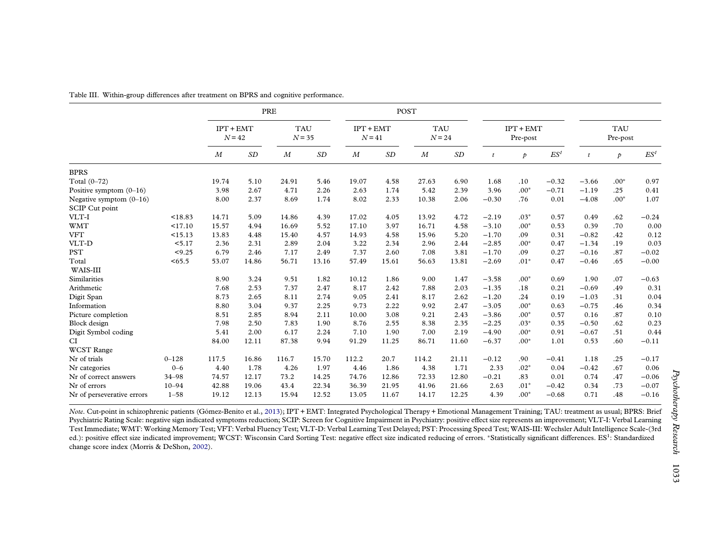|                            |           |                         | PRE   |                        |       | POST                    |       |                        |       |                         |               |                 |                        |        |                 |
|----------------------------|-----------|-------------------------|-------|------------------------|-------|-------------------------|-------|------------------------|-------|-------------------------|---------------|-----------------|------------------------|--------|-----------------|
|                            |           | $IPT + EMT$<br>$N = 42$ |       | <b>TAU</b><br>$N = 35$ |       | $IPT + EMT$<br>$N = 41$ |       | <b>TAU</b><br>$N = 24$ |       | $IPT + EMT$<br>Pre-post |               |                 | <b>TAU</b><br>Pre-post |        |                 |
|                            |           | M                       | SD    | $\boldsymbol{M}$       | SD    | $\boldsymbol{M}$        | SD    | $\boldsymbol{M}$       | SD    | $\boldsymbol{t}$        | $\mathcal{P}$ | ES <sup>1</sup> | $\boldsymbol{t}$       | Þ      | ES <sup>1</sup> |
| <b>BPRS</b>                |           |                         |       |                        |       |                         |       |                        |       |                         |               |                 |                        |        |                 |
| Total $(0-72)$             |           | 19.74                   | 5.10  | 24.91                  | 5.46  | 19.07                   | 4.58  | 27.63                  | 6.90  | 1.68                    | .10           | $-0.32$         | $-3.66$                | $.00*$ | 0.97            |
| Positive symptom $(0-16)$  |           | 3.98                    | 2.67  | 4.71                   | 2.26  | 2.63                    | 1.74  | 5.42                   | 2.39  | 3.96                    | $.00*$        | $-0.71$         | $-1.19$                | .25    | 0.41            |
| Negative symptom $(0-16)$  |           | 8.00                    | 2.37  | 8.69                   | 1.74  | 8.02                    | 2.33  | 10.38                  | 2.06  | $-0.30$                 | .76           | 0.01            | $-4.08$                | $.00*$ | 1.07            |
| SCIP Cut point             |           |                         |       |                        |       |                         |       |                        |       |                         |               |                 |                        |        |                 |
| VLT-I                      | < 18.83   | 14.71                   | 5.09  | 14.86                  | 4.39  | 17.02                   | 4.05  | 13.92                  | 4.72  | $-2.19$                 | $.03*$        | 0.57            | 0.49                   | .62    | $-0.24$         |
| <b>WMT</b>                 | <17.10    | 15.57                   | 4.94  | 16.69                  | 5.52  | 17.10                   | 3.97  | 16.71                  | 4.58  | $-3.10$                 | $.00*$        | 0.53            | 0.39                   | .70    | 0.00            |
| <b>VFT</b>                 | <15.13    | 13.83                   | 4.48  | 15.40                  | 4.57  | 14.93                   | 4.58  | 15.96                  | 5.20  | $-1.70$                 | .09           | 0.31            | $-0.82$                | .42    | 0.12            |
| VLT-D                      | < 5.17    | 2.36                    | 2.31  | 2.89                   | 2.04  | 3.22                    | 2.34  | 2.96                   | 2.44  | $-2.85$                 | $.00*$        | 0.47            | $-1.34$                | .19    | 0.03            |
| <b>PST</b>                 | < 9.25    | 6.79                    | 2.46  | 7.17                   | 2.49  | 7.37                    | 2.60  | 7.08                   | 3.81  | $-1.70$                 | .09           | 0.27            | $-0.16$                | .87    | $-0.02$         |
| Total                      | < 65.5    | 53.07                   | 14.86 | 56.71                  | 13.16 | 57.49                   | 15.61 | 56.63                  | 13.81 | $-2.69$                 | $.01*$        | 0.47            | $-0.46$                | .65    | $-0.00$         |
| WAIS-III                   |           |                         |       |                        |       |                         |       |                        |       |                         |               |                 |                        |        |                 |
| Similarities               |           | 8.90                    | 3.24  | 9.51                   | 1.82  | 10.12                   | 1.86  | 9.00                   | 1.47  | $-3.58$                 | $.00*$        | 0.69            | 1.90                   | .07    | $-0.63$         |
| Arithmetic                 |           | 7.68                    | 2.53  | 7.37                   | 2.47  | 8.17                    | 2.42  | 7.88                   | 2.03  | $-1.35$                 | .18           | 0.21            | $-0.69$                | .49    | 0.31            |
| Digit Span                 |           | 8.73                    | 2.65  | 8.11                   | 2.74  | 9.05                    | 2.41  | 8.17                   | 2.62  | $-1.20$                 | .24           | 0.19            | $-1.03$                | .31    | 0.04            |
| Information                |           | 8.80                    | 3.04  | 9.37                   | 2.25  | 9.73                    | 2.22  | 9.92                   | 2.47  | $-3.05$                 | $.00*$        | 0.63            | $-0.75$                | .46    | 0.34            |
| Picture completion         |           | 8.51                    | 2.85  | 8.94                   | 2.11  | 10.00                   | 3.08  | 9.21                   | 2.43  | $-3.86$                 | $.00*$        | 0.57            | 0.16                   | .87    | 0.10            |
| Block design               |           | 7.98                    | 2.50  | 7.83                   | 1.90  | 8.76                    | 2.55  | 8.38                   | 2.35  | $-2.25$                 | $.03*$        | 0.35            | $-0.50$                | .62    | 0.23            |
| Digit Symbol coding        |           | 5.41                    | 2.00  | 6.17                   | 2.24  | 7.10                    | 1.90  | 7.00                   | 2.19  | $-4.90$                 | $.00*$        | 0.91            | $-0.67$                | .51    | 0.44            |
| CI                         |           | 84.00                   | 12.11 | 87.38                  | 9.94  | 91.29                   | 11.25 | 86.71                  | 11.60 | $-6.37$                 | $.00*$        | 1.01            | 0.53                   | .60    | $-0.11$         |
| <b>WCST</b> Range          |           |                         |       |                        |       |                         |       |                        |       |                         |               |                 |                        |        |                 |
| Nr of trials               | $0 - 128$ | 117.5                   | 16.86 | 116.7                  | 15.70 | 112.2                   | 20.7  | 114.2                  | 21.11 | $-0.12$                 | .90           | $-0.41$         | 1.18                   | .25    | $-0.17$         |
| Nr categories              | $0 - 6$   | 4.40                    | 1.78  | 4.26                   | 1.97  | 4.46                    | 1.86  | 4.38                   | 1.71  | 2.33                    | $.02*$        | 0.04            | $-0.42$                | .67    | 0.06            |
| Nr of correct answers      | 34-98     | 74.57                   | 12.17 | 73.2                   | 14.25 | 74.76                   | 12.86 | 72.33                  | 12.80 | $-0.21$                 | .83           | 0.01            | 0.74                   | .47    | $-0.06$         |
| Nr of errors               | $10 - 94$ | 42.88                   | 19.06 | 43.4                   | 22.34 | 36.39                   | 21.95 | 41.96                  | 21.66 | 2.63                    | $.01*$        | $-0.42$         | 0.34                   | .73    | $-0.07$         |
| Nr of perseverative errors | $1 - 58$  | 19.12                   | 12.13 | 15.94                  | 12.52 | 13.05                   | 11.67 | 14.17                  | 12.25 | 4.39                    | $.00*$        | $-0.68$         | 0.71                   | .48    | $-0.16$         |

<span id="page-8-0"></span>Table III. Within-group differences after treatment on BPRS and cognitive performance.

Note. Cut-point in schizophrenic patients (Gómez-Benito et al., [2013](#page-11-0)); IPT + EMT: Integrated Psychological Therapy + Emotional Management Training; TAU: treatment as usual; BPRS: Brief Psychiatric Rating Scale: negative sign indicated symptoms reduction; SCIP: Screen for Cognitive Impairment in Psychiatry: positive effect size represents an improvement; VLT-I: Verbal Learning Test Immediate; WMT: Working Memory Test; VFT: Verbal Fluency Test; VLT-D: Verbal Learning Test Delayed; PST: Processing Speed Test; WAIS-III: Wechsler Adult Intelligence Scale-(3rd ed.): positive effect size indicated improvement; WCST: Wisconsin Card Sorting Test: negative effect size indicated reducing of errors. \*Statistically significant differences. ES<sup>1</sup>: Standardized change score index (Morris & DeShon, [2002](#page-12-0)).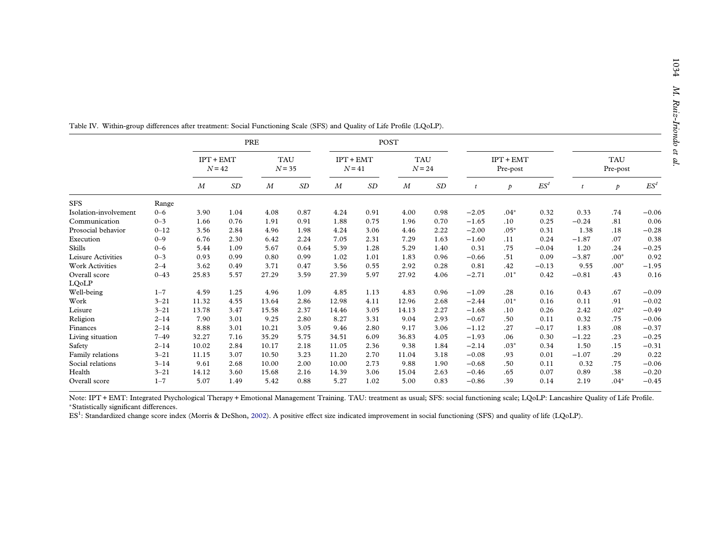|                        |          |                         |      | PRE                    |      |                         |      | <b>POST</b>            |      |                         |               |                 |                        |               |                 |
|------------------------|----------|-------------------------|------|------------------------|------|-------------------------|------|------------------------|------|-------------------------|---------------|-----------------|------------------------|---------------|-----------------|
|                        |          | $IPT + EMT$<br>$N = 42$ |      | <b>TAU</b><br>$N = 35$ |      | $IPT + EMT$<br>$N = 41$ |      | <b>TAU</b><br>$N = 24$ |      | $IPT + EMT$<br>Pre-post |               |                 | <b>TAU</b><br>Pre-post |               |                 |
|                        |          | $\boldsymbol{M}$        | SD   | M                      | SD   | $\boldsymbol{M}$        | SD   | $\boldsymbol{M}$       | SD   | t                       | $\mathcal{P}$ | ES <sup>1</sup> |                        | $\mathcal{P}$ | ES <sup>1</sup> |
| <b>SFS</b>             | Range    |                         |      |                        |      |                         |      |                        |      |                         |               |                 |                        |               |                 |
| Isolation-involvement  | $0 - 6$  | 3.90                    | 1.04 | 4.08                   | 0.87 | 4.24                    | 0.91 | 4.00                   | 0.98 | $-2.05$                 | $.04*$        | 0.32            | 0.33                   | .74           | $-0.06$         |
| Communication          | $0 - 3$  | 1.66                    | 0.76 | 1.91                   | 0.91 | 1.88                    | 0.75 | 1.96                   | 0.70 | $-1.65$                 | .10           | 0.25            | $-0.24$                | .81           | 0.06            |
| Prosocial behavior     | $0 - 12$ | 3.56                    | 2.84 | 4.96                   | 1.98 | 4.24                    | 3.06 | 4.46                   | 2.22 | $-2.00$                 | $.05*$        | 0.31            | 1.38                   | .18           | $-0.28$         |
| Execution              | $0 - 9$  | 6.76                    | 2.30 | 6.42                   | 2.24 | 7.05                    | 2.31 | 7.29                   | 1.63 | $-1.60$                 | .11           | 0.24            | $-1.87$                | .07           | 0.38            |
| <b>Skills</b>          | $0 - 6$  | 5.44                    | 1.09 | 5.67                   | 0.64 | 5.39                    | 1.28 | 5.29                   | 1.40 | 0.31                    | .75           | $-0.04$         | 1.20                   | .24           | $-0.25$         |
| Leisure Activities     | $0 - 3$  | 0.93                    | 0.99 | 0.80                   | 0.99 | 1.02                    | 1.01 | 1.83                   | 0.96 | $-0.66$                 | .51           | 0.09            | $-3.87$                | $.00*$        | 0.92            |
| <b>Work Activities</b> | $2 - 4$  | 3.62                    | 0.49 | 3.71                   | 0.47 | 3.56                    | 0.55 | 2.92                   | 0.28 | 0.81                    | .42           | $-0.13$         | 9.55                   | $.00*$        | $-1.95$         |
| Overall score          | $0 - 43$ | 25.83                   | 5.57 | 27.29                  | 3.59 | 27.39                   | 5.97 | 27.92                  | 4.06 | $-2.71$                 | $.01*$        | 0.42            | $-0.81$                | .43           | 0.16            |
| LQoLP                  |          |                         |      |                        |      |                         |      |                        |      |                         |               |                 |                        |               |                 |
| Well-being             | $1 - 7$  | 4.59                    | 1.25 | 4.96                   | 1.09 | 4.85                    | 1.13 | 4.83                   | 0.96 | $-1.09$                 | .28           | 0.16            | 0.43                   | .67           | $-0.09$         |
| Work                   | $3 - 21$ | 11.32                   | 4.55 | 13.64                  | 2.86 | 12.98                   | 4.11 | 12.96                  | 2.68 | $-2.44$                 | $.01*$        | 0.16            | 0.11                   | .91           | $-0.02$         |
| Leisure                | $3 - 21$ | 13.78                   | 3.47 | 15.58                  | 2.37 | 14.46                   | 3.05 | 14.13                  | 2.27 | $-1.68$                 | .10           | 0.26            | 2.42                   | $.02*$        | $-0.49$         |
| Religion               | $2 - 14$ | 7.90                    | 3.01 | 9.25                   | 2.80 | 8.27                    | 3.31 | 9.04                   | 2.93 | $-0.67$                 | .50           | 0.11            | 0.32                   | .75           | $-0.06$         |
| Finances               | $2 - 14$ | 8.88                    | 3.01 | 10.21                  | 3.05 | 9.46                    | 2.80 | 9.17                   | 3.06 | $-1.12$                 | .27           | $-0.17$         | 1.83                   | .08           | $-0.37$         |
| Living situation       | $7 - 49$ | 32.27                   | 7.16 | 35.29                  | 5.75 | 34.51                   | 6.09 | 36.83                  | 4.05 | $-1.93$                 | .06           | 0.30            | $-1.22$                | .23           | $-0.25$         |
| Safety                 | $2 - 14$ | 10.02                   | 2.84 | 10.17                  | 2.18 | 11.05                   | 2.36 | 9.38                   | 1.84 | $-2.14$                 | $.03*$        | 0.34            | 1.50                   | .15           | $-0.31$         |
| Family relations       | $3 - 21$ | 11.15                   | 3.07 | 10.50                  | 3.23 | 11.20                   | 2.70 | 11.04                  | 3.18 | $-0.08$                 | .93           | 0.01            | $-1.07$                | .29           | 0.22            |
| Social relations       | $3 - 14$ | 9.61                    | 2.68 | 10.00                  | 2.00 | 10.00                   | 2.73 | 9.88                   | 1.90 | $-0.68$                 | .50           | 0.11            | 0.32                   | .75           | $-0.06$         |
| Health                 | $3 - 21$ | 14.12                   | 3.60 | 15.68                  | 2.16 | 14.39                   | 3.06 | 15.04                  | 2.63 | $-0.46$                 | .65           | 0.07            | 0.89                   | .38           | $-0.20$         |
| Overall score          | $1 - 7$  | 5.07                    | 1.49 | 5.42                   | 0.88 | 5.27                    | 1.02 | 5.00                   | 0.83 | $-0.86$                 | .39           | 0.14            | 2.19                   | $.04*$        | $-0.45$         |

<span id="page-9-0"></span>Table IV. Within-group differences after treatment: Social Functioning Scale (SFS) and Quality of Life Profile (LQoLP).

Note: IPT + EMT: Integrated Psychological Therapy + Emotional Management Training. TAU: treatment as usual; SFS: social functioning scale; LQoLP: Lancashire Quality of Life Profile. <sup>∗</sup>Statistically significant differences.

ES1: Standardized change score index (Morris & DeShon, [2002\)](#page-12-0). <sup>A</sup> positive effect size indicated improvement in social functioning (SFS) and quality of life (LQoLP).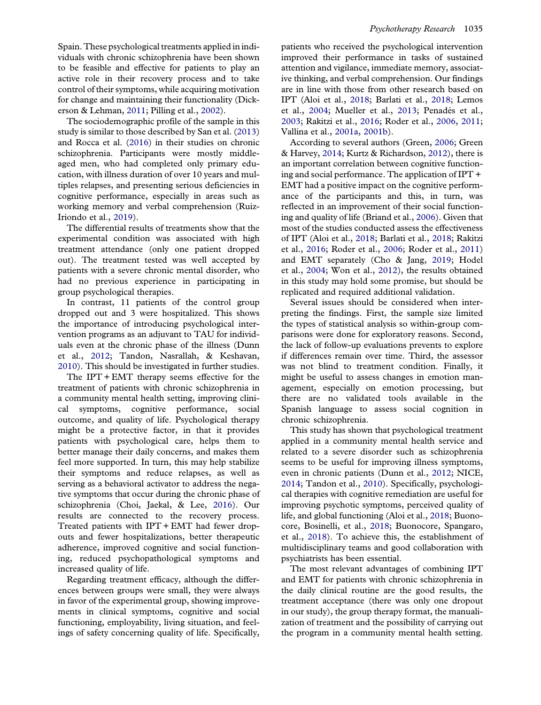<span id="page-10-0"></span>Spain. These psychological treatments applied in individuals with chronic schizophrenia have been shown to be feasible and effective for patients to play an active role in their recovery process and to take control of their symptoms, while acquiring motivation for change and maintaining their functionality (Dickerson & Lehman, [2011](#page-11-0); Pilling et al., [2002\)](#page-12-0).

The sociodemographic profile of the sample in this study is similar to those described by San et al. [\(2013\)](#page-13-0) and Rocca et al. ([2016](#page-12-0)) in their studies on chronic schizophrenia. Participants were mostly middleaged men, who had completed only primary education, with illness duration of over 10 years and multiples relapses, and presenting serious deficiencies in cognitive performance, especially in areas such as working memory and verbal comprehension (Ruiz-Iriondo et al., [2019\)](#page-13-0).

The differential results of treatments show that the experimental condition was associated with high treatment attendance (only one patient dropped out). The treatment tested was well accepted by patients with a severe chronic mental disorder, who had no previous experience in participating in group psychological therapies.

In contrast, 11 patients of the control group dropped out and 3 were hospitalized. This shows the importance of introducing psychological intervention programs as an adjuvant to TAU for individuals even at the chronic phase of the illness (Dunn et al., [2012;](#page-11-0) Tandon, Nasrallah, & Keshavan, [2010\)](#page-13-0). This should be investigated in further studies.

The IPT + EMT therapy seems effective for the treatment of patients with chronic schizophrenia in a community mental health setting, improving clinical symptoms, cognitive performance, social outcome, and quality of life. Psychological therapy might be a protective factor, in that it provides patients with psychological care, helps them to better manage their daily concerns, and makes them feel more supported. In turn, this may help stabilize their symptoms and reduce relapses, as well as serving as a behavioral activator to address the negative symptoms that occur during the chronic phase of schizophrenia (Choi, Jaekal, & Lee, [2016\)](#page-11-0). Our results are connected to the recovery process. Treated patients with IPT + EMT had fewer dropouts and fewer hospitalizations, better therapeutic adherence, improved cognitive and social functioning, reduced psychopathological symptoms and increased quality of life.

Regarding treatment efficacy, although the differences between groups were small, they were always in favor of the experimental group, showing improvements in clinical symptoms, cognitive and social functioning, employability, living situation, and feelings of safety concerning quality of life. Specifically,

patients who received the psychological intervention improved their performance in tasks of sustained attention and vigilance, immediate memory, associative thinking, and verbal comprehension. Our findings are in line with those from other research based on IPT (Aloi et al., [2018](#page-11-0); Barlati et al., [2018;](#page-11-0) Lemos et al., [2004;](#page-12-0) Mueller et al., [2013;](#page-12-0) Penadés et al., [2003;](#page-12-0) Rakitzi et al., [2016;](#page-12-0) Roder et al., [2006](#page-12-0), [2011](#page-13-0); Vallina et al., [2001a,](#page-13-0) [2001b\)](#page-13-0).

According to several authors (Green, [2006](#page-12-0); Green & Harvey, [2014;](#page-12-0) Kurtz & Richardson, [2012](#page-12-0)), there is an important correlation between cognitive functioning and social performance. The application of IPT + EMT had a positive impact on the cognitive performance of the participants and this, in turn, was reflected in an improvement of their social functioning and quality of life (Briand et al., [2006\)](#page-11-0). Given that most of the studies conducted assess the effectiveness of IPT (Aloi et al., [2018](#page-11-0); Barlati et al., [2018;](#page-11-0) Rakitzi et al., [2016;](#page-12-0) Roder et al., [2006;](#page-12-0) Roder et al., [2011\)](#page-13-0) and EMT separately (Cho & Jang, [2019](#page-11-0); Hodel et al., [2004;](#page-12-0) Won et al., [2012\)](#page-13-0), the results obtained in this study may hold some promise, but should be replicated and required additional validation.

Several issues should be considered when interpreting the findings. First, the sample size limited the types of statistical analysis so within-group comparisons were done for exploratory reasons. Second, the lack of follow-up evaluations prevents to explore if differences remain over time. Third, the assessor was not blind to treatment condition. Finally, it might be useful to assess changes in emotion management, especially on emotion processing, but there are no validated tools available in the Spanish language to assess social cognition in chronic schizophrenia.

This study has shown that psychological treatment applied in a community mental health service and related to a severe disorder such as schizophrenia seems to be useful for improving illness symptoms, even in chronic patients (Dunn et al., [2012](#page-11-0); NICE, [2014;](#page-12-0) Tandon et al., [2010\)](#page-13-0). Specifically, psychological therapies with cognitive remediation are useful for improving psychotic symptoms, perceived quality of life, and global functioning (Aloi et al., [2018](#page-11-0); Buonocore, Bosinelli, et al., [2018;](#page-11-0) Buonocore, Spangaro, et al., [2018](#page-11-0)). To achieve this, the establishment of multidisciplinary teams and good collaboration with psychiatrists has been essential.

The most relevant advantages of combining IPT and EMT for patients with chronic schizophrenia in the daily clinical routine are the good results, the treatment acceptance (there was only one dropout in our study), the group therapy format, the manualization of treatment and the possibility of carrying out the program in a community mental health setting.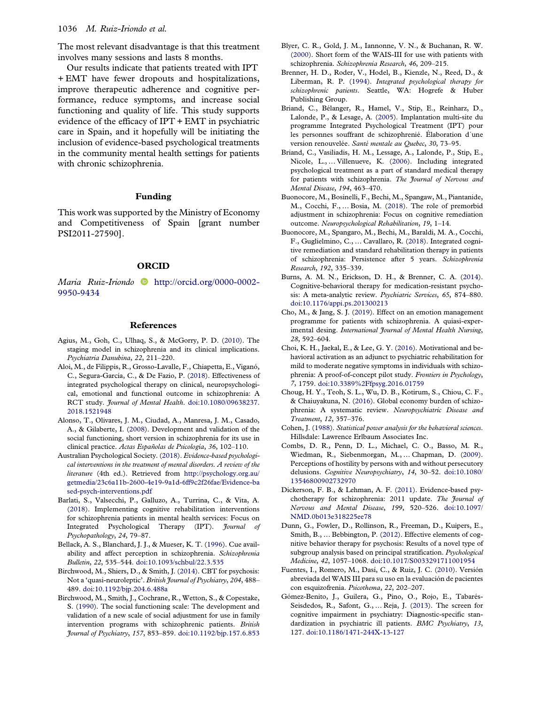<span id="page-11-0"></span>The most relevant disadvantage is that this treatment involves many sessions and lasts 8 months.

Our results indicate that patients treated with IPT + EMT have fewer dropouts and hospitalizations, improve therapeutic adherence and cognitive performance, reduce symptoms, and increase social functioning and quality of life. This study supports evidence of the efficacy of IPT + EMT in psychiatric care in Spain, and it hopefully will be initiating the inclusion of evidence-based psychological treatments in the community mental health settings for patients with chronic schizophrenia.

#### Funding

This work was supported by the Ministry of Economy and Competitiveness of Spain [grant number PSI2011-27590].

#### ORCID

Maria Ruiz-Iriondo [http://orcid.org/0000-0002-](http://orcid.org/0000-0002-9950-9434) [9950-9434](http://orcid.org/0000-0002-9950-9434)

#### References

- Agius, M., Goh, C., Ulhaq, S., & McGorry, P. D. ([2010\)](#page-2-0). The staging model in schizophrenia and its clinical implications. Psychiatria Danubina, 22, 211–220.
- Aloi, M., de Filippis, R., Grosso-Lavalle, F., Chiapetta, E., Viganó, C., Segura-García, C., & De Fazio, P. ([2018](#page-2-0)). Effectiveness of integrated psychological therapy on clinical, neuropsychological, emotional and functional outcome in schizophrenia: A RCT study. *Journal of Mental Health.* [doi:10.1080/09638237.](https://doi.org/10.1080/09638237.2018.1521948) [2018.1521948](https://doi.org/10.1080/09638237.2018.1521948)
- Alonso, T., Olivares, J. M., Ciudad, A., Manresa, J. M., Casado, A., & Gilaberte, I. ([2008\)](#page-5-0). Development and validation of the social functioning, short version in schizophrenia for its use in clinical practice. Actas Españolas de Psicología, 36, 102–110.
- Australian Psychological Society. ([2018\)](#page-2-0). Evidence-based psychological interventions in the treatment of mental disorders. A review of the literature (4th ed.). Retrieved from [http://psychology.org.au/](http://psychology.org.au/getmedia/23c6a11b-2600-4e19-9a1d-6ff9c2f26fae/Evidence-based-psych-interventions.pdf) [getmedia/23c6a11b-2600-4e19-9a1d-6ff9c2f26fae/Evidence-ba](http://psychology.org.au/getmedia/23c6a11b-2600-4e19-9a1d-6ff9c2f26fae/Evidence-based-psych-interventions.pdf) [sed-psych-interventions.pdf](http://psychology.org.au/getmedia/23c6a11b-2600-4e19-9a1d-6ff9c2f26fae/Evidence-based-psych-interventions.pdf)
- Barlati, S., Valsecchi, P., Galluzo, A., Turrina, C., & Vita, A. ([2018\)](#page-2-0). Implementing cognitive rehabilitation interventions for schizophrenia patients in mental health services: Focus on Integrated Psychological Therapy (IPT). Journal of Psychopathology, 24, 79–87.
- Bellack, A. S., Blanchard, J. J., & Mueser, K. T. [\(1996\)](#page-2-0). Cue availability and affect perception in schizophrenia. Schizophrenia Bulletin, 22, 535–544. [doi:10.1093/schbul/22.3.535](https://doi.org/10.1093/schbul/22.3.535)
- Birchwood, M., Shiers, D., & Smith, J. ([2014\)](#page-2-0). CBT for psychosis: Not a 'quasi-neuroleptic'. British Journal of Psychiatry, 204, 488– 489. [doi:10.1192/bjp.204.6.488a](https://doi.org/10.1192/bjp.204.6.488a)
- Birchwood, M., Smith, J., Cochrane, R., Wetton, S., & Copestake, S. [\(1990\)](#page-5-0). The social functioning scale: The development and validation of a new scale of social adjustment for use in family intervention programs with schizophrenic patients. British Journal of Psychiatry, 157, 853–859. [doi:10.1192/bjp.157.6.853](https://doi.org/10.1192/bjp.157.6.853)
- Blyer, C. R., Gold, J. M., Iannonne, V. N., & Buchanan, R. W. [\(2000\)](#page-4-0). Short form of the WAIS-III for use with patients with schizophrenia. Schizophrenia Research, 46, 209–215.
- Brenner, H. D., Roder, V., Hodel, B., Kienzle, N., Reed, D., & Liberman, R. P. [\(1994\)](#page-2-0). Integrated psychological therapy for schizophrenic patients. Seattle, WA: Hogrefe & Huber Publishing Group.
- Briand, C., Bélanger, R., Hamel, V., Stip, E., Reinharz, D., Lalonde, P., & Lesage, A. ([2005](#page-2-0)). Implantation multi-site du programme Integrated Psychological Treatment (IPT) pour les personnes souffrant de schizophrenié. Élaboration d´une version renouvelée. Santé mentale au Quebec, 30, 73–95.
- Briand, C., Vasiliadis, H. M., Lessage, A., Lalonde, P., Stip, E., Nicole, L., … Villenueve, K. ([2006\)](#page-2-0). Including integrated psychological treatment as a part of standard medical therapy for patients with schizophrenia. The Journal of Nervous and Mental Disease, 194, 463–470.
- Buonocore, M., Bosinelli, F., Bechi, M., Spangaw, M., Piantanide, M., Cocchi, F., … Bosia, M. ([2018\)](#page-10-0). The role of premorbid adjustment in schizophrenia: Focus on cognitive remediation outcome. Neuropsychological Rehabilitation, 19, 1–14.
- Buonocore, M., Spangaro, M., Bechi, M., Baraldi, M. A., Cocchi, F., Guglielmino, C., … Cavallaro, R. ([2018](#page-10-0)). Integrated cognitive remediation and standard rehabilitation therapy in patients of schizophrenia: Persistence after 5 years. Schizophrenia Research, 192, 335–339.
- Burns, A. M. N., Erickson, D. H., & Brenner, C. A. ([2014\)](#page-2-0). Cognitive-behavioral therapy for medication-resistant psychosis: A meta-analytic review. Psychiatric Services, 65, 874–880. [doi:10.1176/appi.ps.201300213](https://doi.org/10.1176/appi.ps.201300213)
- Cho, M., & Jang, S. J. [\(2019\)](#page-2-0). Effect on an emotion management programme for patients with schizophrenia. A quiasi-experimental desing. International Journal of Mental Health Nursing, 28, 592–604.
- Choi, K. H., Jaekal, E., & Lee, G. Y. ([2016\)](#page-10-0). Motivational and behavioral activation as an adjunct to psychiatric rehabilitation for mild to moderate negative symptoms in individuals with schizophrenia: A proof-of-concept pilot study. Frontiers in Psychology, 7, 1759. [doi:10.3389%2Ffpsyg.2016.01759](https://doi.org/10.3389%2Ffpsyg.2016.01759)
- Choug, H. Y., Teoh, S. L., Wu, D. B., Kotirum, S., Chiou, C. F., & Chaiuyakuna, N. ([2016](#page-1-0)). Global economy burden of schizophrenia: A systematic review. Neuropsychiatric Disease and Treatment, 12, 357–376.
- Cohen, J. [\(1988\)](#page-6-0). Statistical power analysis for the behavioral sciences. Hillsdale: Lawrence Erlbaum Associates Inc.
- Combs, D. R., Penn, D. L., Michael, C. O., Basso, M. R., Wiedman, R., Siebenmorgan, M., … Chapman, D. ([2009\)](#page-2-0). Perceptions of hostility by persons with and without persecutory delusions. Cognitive Neuropsychiatry, 14, 30–52. [doi:10.1080/](https://doi.org/10.1080/13546800902732970) [13546800902732970](https://doi.org/10.1080/13546800902732970)
- Dickerson, F. B., & Lehman, A. F. ([2011\)](#page-10-0). Evidence-based psychotherapy for schizophrenia: 2011 update. The Journal of Nervous and Mental Disease, 199, 520–526. [doi:10.1097/](https://doi.org/10.1097/NMD.0b013e318225ee78) [NMD.0b013e318225ee78](https://doi.org/10.1097/NMD.0b013e318225ee78)
- Dunn, G., Fowler, D., Rollinson, R., Freeman, D., Kuipers, E., Smith, B., … Bebbington, P. [\(2012](#page-10-0)). Effective elements of cognitive behavior therapy for psychosis: Results of a novel type of subgroup analysis based on principal stratification. Psychological Medicine, 42, 1057–1068. [doi:10.1017/S0033291711001954](https://doi.org/10.1017/S0033291711001954)
- Fuentes, I., Romero, M., Dasí, C., & Ruiz, J. C. ([2010\)](#page-5-0). Versión abreviada del WAIS III para su uso en la evaluación de pacientes con esquizofrenia. Psicothema, 22, 202–207.
- Gómez-Benito, J., Guilera, G., Pino, O., Rojo, E., Tabarés-Seisdedos, R., Safont, G., … Reja, J. ([2013](#page-6-0)). The screen for cognitive impairment in psychiatry: Diagnostic-specific standardization in psychiatric ill patients. BMC Psychiatry, 13, 127. [doi:10.1186/1471-244X-13-127](https://doi.org/10.1186/1471-244X-13-127)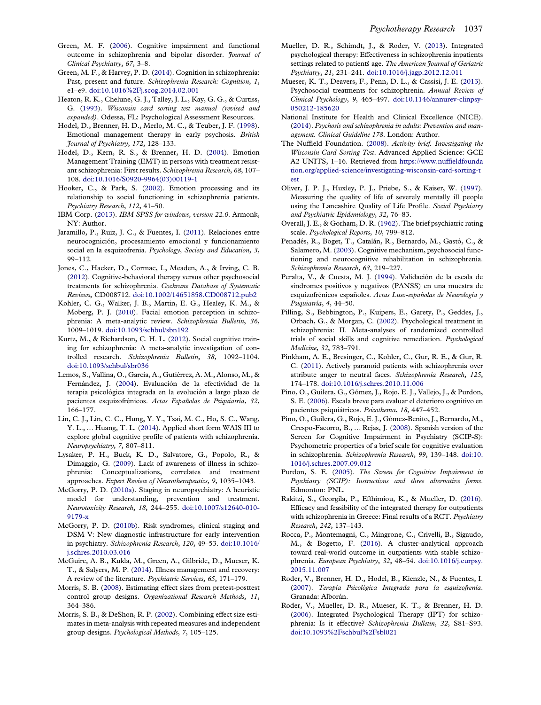- <span id="page-12-0"></span>Green, M. F. ([2006\)](#page-10-0). Cognitive impairment and functional outcome in schizophrenia and bipolar disorder. Journal of Clinical Psychiatry, 67, 3–8.
- Green, M. F., & Harvey, P. D. ([2014\)](#page-10-0). Cognition in schizophrenia: Past, present and future. Schizophrenia Research: Cognition, 1, e1–e9. [doi:10.1016%2Fj.scog.2014.02.001](https://doi.org/10.1016%2Fj.scog.2014.02.001)
- Heaton, R. K., Chelune, G. J., Talley, J. L., Kay, G. G., & Curtiss, G. ([1993](#page-5-0)). Wisconsin card sorting test manual (revised and expanded). Odessa, FL: Psychological Assessment Resources.
- Hodel, D., Brenner, H. D., Merlo, M. C., & Teuber, J. F. ([1998](#page-2-0)). Emotional management therapy in early psychosis. British Journal of Psychiatry, 172, 128–133.
- Hodel, D., Kern, R. S., & Brenner, H. D. [\(2004\)](#page-2-0). Emotion Management Training (EMT) in persons with treatment resistant schizophrenia: First results. Schizophrenia Research, 68, 107– 108. [doi:10.1016/S0920-9964\(03\)00119-1](https://doi.org/10.1016/S0920-9964(03)00119-1)
- Hooker, C., & Park, S. [\(2002](#page-2-0)). Emotion processing and its relationship to social functioning in schizophrenia patients. Psychiatry Research, 112, 41–50.
- IBM Corp. ([2013\)](#page-5-0). IBM SPSS for windows, version 22.0. Armonk, NY: Author.
- Jaramillo, P., Ruiz, J. C., & Fuentes, I. [\(2011\)](#page-2-0). Relaciones entre neurocognición, procesamiento emocional y funcionamiento social en la esquizofrenia. Psychology, Society and Education, 3, 99–112.
- Jones, C., Hacker, D., Cormac, I., Meaden, A., & Irving, C. B. ([2012\)](#page-2-0). Cognitive-behavioral therapy versus other psychosocial treatments for schizophrenia. Cochrane Database of Systematic Reviews, CD008712. [doi:10.1002/14651858.CD008712.pub2](https://doi.org/10.1002/14651858.CD008712.pub2)
- Kohler, C. G., Walker, J. B., Martin, E. G., Healey, K. M., & Moberg, P. J. ([2010](#page-2-0)). Facial emotion perception in schizophrenia: A meta-analytic review. Schizophrenia Bulletin, 36, 1009–1019. [doi:10.1093/schbul/sbn192](https://doi.org/10.1093/schbul/sbn192)
- Kurtz, M., & Richardson, C. H. L. [\(2012](#page-10-0)). Social cognitive training for schizophrenia: A meta-analytic investigation of controlled research. Schizophrenia Bulletin, 38, 1092–1104. [doi:10.1093/schbul/sbr036](https://doi.org/10.1093/schbul/sbr036)
- Lemos, S., Vallina, O., García, A., Gutiérrez, A. M., Alonso, M., & Fernández, J. ([2004\)](#page-2-0). Evaluación de la efectividad de la terapia psicológica integrada en la evolución a largo plazo de pacientes esquizofrénicos. Actas Españolas de Psiquiatría, 32, 166–177.
- Lin, C. J., Lin, C. C., Hung, Y. Y., Tsai, M. C., Ho, S. C., Wang, Y. L., … Huang, T. L. [\(2014\)](#page-4-0). Applied short form WAIS III to explore global cognitive profile of patients with schizophrenia. Neuropsychiatry, 7, 807–811.
- Lysaker, P. H., Buck, K. D., Salvatore, G., Popolo, R., & Dimaggio, G. [\(2009\)](#page-1-0). Lack of awareness of illness in schizophrenia: Conceptualizations, correlates and treatment approaches. Expert Review of Neurotherapeutics, 9, 1035–1043.
- McGorry, P. D. ([2010a\)](#page-2-0). Staging in neuropsychiatry: A heuristic model for understanding, prevention and treatment. Neurotoxicity Research, 18, 244–255. [doi:10.1007/s12640-010-](https://doi.org/10.1007/s12640-010-9179-x) [9179-x](https://doi.org/10.1007/s12640-010-9179-x)
- McGorry, P. D. ([2010b](#page-2-0)). Risk syndromes, clinical staging and DSM V: New diagnostic infrastructure for early intervention in psychiatry. Schizophrenia Research, 120, 49–53. [doi:10.1016/](https://doi.org/10.1016/j.schres.2010.03.016) [j.schres.2010.03.016](https://doi.org/10.1016/j.schres.2010.03.016)
- McGuire, A. B., Kukla, M., Green, A., Gilbride, D., Mueser, K. T., & Salyers, M. P. ([2014\)](#page-2-0). Illness management and recovery: A review of the literature. Psychiatric Services, 65, 171–179.
- Morris, S. B. ([2008\)](#page-6-0). Estimating effect sizes from pretest-posttest control group designs. Organizational Research Methods, 11, 364–386.
- Morris, S. B., & DeShon, R. P. [\(2002\)](#page-6-0). Combining effect size estimates in meta-analysis with repeated measures and independent group designs. Psychological Methods, 7, 105–125.
- Mueller, D. R., Schimdt, J., & Roder, V. ([2013\)](#page-2-0). Integrated psychological therapy: Effectiveness in schizophrenia inpatients settings related to patients age. The American Journal of Geriatric Psychiatry, 21, 231–241. [doi:10.1016/j.jagp.2012.12.011](https://doi.org/10.1016/j.jagp.2012.12.011)
- Mueser, K. T., Deavers, F., Penn, D. L., & Cassisi, J. E. ([2013\)](#page-2-0). Psychosocial treatments for schizophrenia. Annual Review of Clinical Psychology, 9, 465–497. [doi:10.1146/annurev-clinpsy-](https://doi.org/10.1146/annurev-clinpsy-050212-185620)[050212-185620](https://doi.org/10.1146/annurev-clinpsy-050212-185620)
- National Institute for Health and Clinical Excellence (NICE). [\(2014\)](#page-2-0). Psychosis and schizophrenia in adults: Prevention and management. Clinical Guideline 178. London: Author.
- The Nuffield Foundation. ([2008\)](#page-5-0). Activity brief. Investigating the Wisconsin Card Sorting Test. Advanced Applied Science: GCE A2 UNITS, 1–16. Retrieved from [https://www.nuffieldfounda](https://www.nuffieldfoundation.org/applied-science/investigating-wisconsin-card-sorting-test) [tion.org/applied-science/investigating-wisconsin-card-sorting-t](https://www.nuffieldfoundation.org/applied-science/investigating-wisconsin-card-sorting-test) [est](https://www.nuffieldfoundation.org/applied-science/investigating-wisconsin-card-sorting-test)
- Oliver, J. P. J., Huxley, P. J., Priebe, S., & Kaiser, W. ([1997\)](#page-5-0). Measuring the quality of life of severely mentally ill people using the Lancashire Quality of Life Profile. Social Psychiatry and Psychiatric Epidemiology, 32, 76–83.
- Overall, J. E., & Gorham, D. R. [\(1962\)](#page-4-0). The brief psychiatric rating scale. Psychological Reports, 10, 799–812.
- Penadés, R., Boget, T., Catalán, R., Bernardo, M., Gastó, C., & Salamero, M. ([2003\)](#page-10-0). Cognitive mechanism, psychosocial functioning and neurocognitive rehabilitation in schizophrenia. Schizophrenia Research, 63, 219–227.
- Peralta, V., & Cuesta, M. J. ([1994](#page-4-0)). Validación de la escala de síndromes positivos y negativos (PANSS) en una muestra de esquizofrénicos españoles. Actas Luso-españolas de Neurología y Psiquiatría, 4, 44–50.
- Pilling, S., Bebbington, P., Kuipers, E., Garety, P., Geddes, J., Orbach, G., & Morgan, C. [\(2002](#page-10-0)). Psychological treatment in schizophrenia: II. Meta-analyses of randomized controlled trials of social skills and cognitive remediation. Psychological Medicine, 32, 783–791.
- Pinkham, A. E., Bresinger, C., Kohler, C., Gur, R. E., & Gur, R. C. ([2011](#page-2-0)). Actively paranoid patients with schizophrenia over attribute anger to neutral faces. Schizophrenia Research, 125, 174–178. [doi:10.1016/j.schres.2010.11.006](https://doi.org/10.1016/j.schres.2010.11.006)
- Pino, O., Guilera, G., Gómez, J., Rojo, E. J., Vallejo, J., & Purdon, S. E. ([2006](#page-4-0)). Escala breve para evaluar el deterioro cognitivo en pacientes psiquiátricos. Psicothema, 18, 447–452.
- Pino, O., Guilera, G., Rojo, E. J., Gómez-Benito, J., Bernardo, M., Crespo-Facorro, B., … Rejas, J. [\(2008\)](#page-4-0). Spanish version of the Screen for Cognitive Impairment in Psychiatry (SCIP-S): Psychometric properties of a brief scale for cognitive evaluation in schizophrenia. Schizophrenia Research, 99, 139–148. [doi:10.](https://doi.org/10.1016/j.schres.2007.09.012) [1016/j.schres.2007.09.012](https://doi.org/10.1016/j.schres.2007.09.012)
- Purdon, S. E. [\(2005](#page-4-0)). The Screen for Cognitive Impairment in Psychiatry (SCIP): Instructions and three alternative forms. Edmonton: PNL.
- Rakitzi, S., Georgila, P., Efthimiou, K., & Mueller, D. ([2016\)](#page-2-0). Efficacy and feasibility of the integrated therapy for outpatients with schizophrenia in Greece: Final results of a RCT. Psychiatry Research, 242, 137–143.
- Rocca, P., Montemagni, C., Mingrone, C., Crivelli, B., Sigaudo, M., & Bogetto, F. ([2016](#page-10-0)). A cluster-analytical approach toward real-world outcome in outpatients with stable schizophrenia. European Psychiatry, 32, 48–54. [doi:10.1016/j.eurpsy.](https://doi.org/10.1016/j.eurpsy.2015.11.007) [2015.11.007](https://doi.org/10.1016/j.eurpsy.2015.11.007)
- Roder, V., Brenner, H. D., Hodel, B., Kienzle, N., & Fuentes, I. [\(2007\)](#page-2-0). Terapia Psicológica Integrada para la esquizofrenia. Granada: Alborán.
- Roder, V., Mueller, D. R., Mueser, K. T., & Brenner, H. D. [\(2006\)](#page-2-0). Integrated Psychological Therapy (IPT) for schizophrenia: Is it effective? Schizophrenia Bulletin, 32, S81–S93. [doi:10.1093%2Fschbul%2Fsbl021](https://doi.org/10.1093%2Fschbul%2Fsbl021)